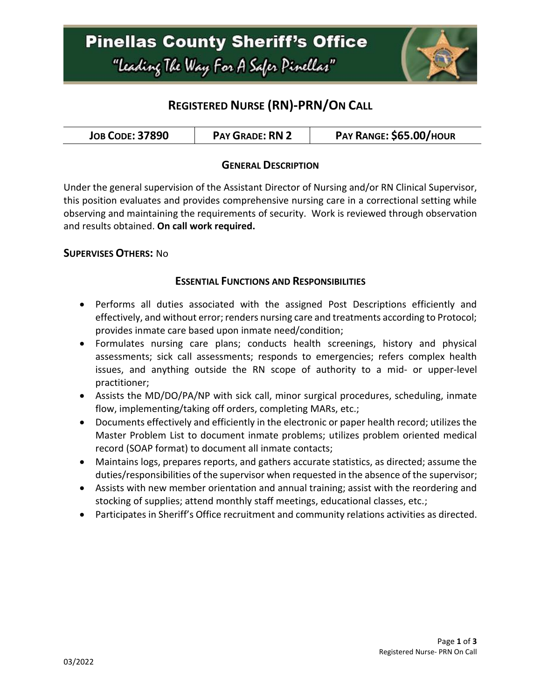

# **REGISTERED NURSE (RN)-PRN/ON CALL**

| <b>PAY GRADE: RN 2</b><br><b>JOB CODE: 37890</b> | PAY RANGE: \$65.00/HOUR |
|--------------------------------------------------|-------------------------|
|--------------------------------------------------|-------------------------|

#### **GENERAL DESCRIPTION**

Under the general supervision of the Assistant Director of Nursing and/or RN Clinical Supervisor, this position evaluates and provides comprehensive nursing care in a correctional setting while observing and maintaining the requirements of security. Work is reviewed through observation and results obtained. **On call work required.**

#### **SUPERVISES OTHERS:** No

#### **ESSENTIAL FUNCTIONS AND RESPONSIBILITIES**

- Performs all duties associated with the assigned Post Descriptions efficiently and effectively, and without error; renders nursing care and treatments according to Protocol; provides inmate care based upon inmate need/condition;
- Formulates nursing care plans; conducts health screenings, history and physical assessments; sick call assessments; responds to emergencies; refers complex health issues, and anything outside the RN scope of authority to a mid- or upper-level practitioner;
- Assists the MD/DO/PA/NP with sick call, minor surgical procedures, scheduling, inmate flow, implementing/taking off orders, completing MARs, etc.;
- Documents effectively and efficiently in the electronic or paper health record; utilizes the Master Problem List to document inmate problems; utilizes problem oriented medical record (SOAP format) to document all inmate contacts;
- Maintains logs, prepares reports, and gathers accurate statistics, as directed; assume the duties/responsibilities of the supervisor when requested in the absence of the supervisor;
- Assists with new member orientation and annual training; assist with the reordering and stocking of supplies; attend monthly staff meetings, educational classes, etc.;
- Participates in Sheriff's Office recruitment and community relations activities as directed.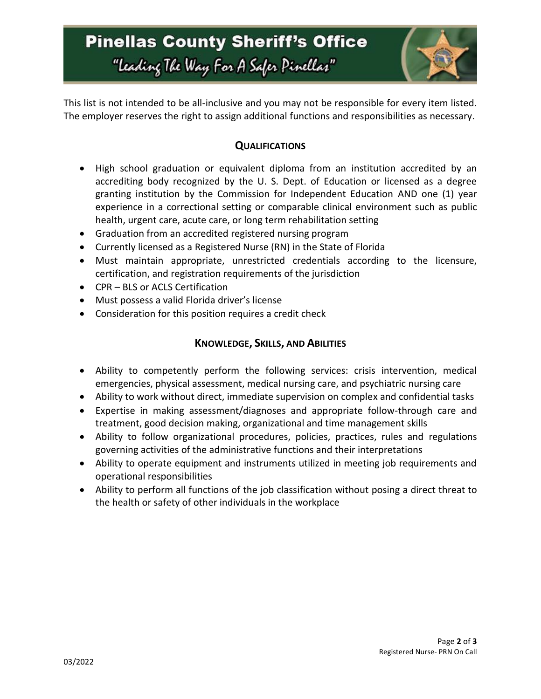

This list is not intended to be all-inclusive and you may not be responsible for every item listed. The employer reserves the right to assign additional functions and responsibilities as necessary.

## **QUALIFICATIONS**

- High school graduation or equivalent diploma from an institution accredited by an accrediting body recognized by the U. S. Dept. of Education or licensed as a degree granting institution by the Commission for Independent Education AND one (1) year experience in a correctional setting or comparable clinical environment such as public health, urgent care, acute care, or long term rehabilitation setting
- Graduation from an accredited registered nursing program
- Currently licensed as a Registered Nurse (RN) in the State of Florida
- Must maintain appropriate, unrestricted credentials according to the licensure, certification, and registration requirements of the jurisdiction
- CPR BLS or ACLS Certification
- Must possess a valid Florida driver's license
- Consideration for this position requires a credit check

### **KNOWLEDGE, SKILLS, AND ABILITIES**

- Ability to competently perform the following services: crisis intervention, medical emergencies, physical assessment, medical nursing care, and psychiatric nursing care
- Ability to work without direct, immediate supervision on complex and confidential tasks
- Expertise in making assessment/diagnoses and appropriate follow-through care and treatment, good decision making, organizational and time management skills
- Ability to follow organizational procedures, policies, practices, rules and regulations governing activities of the administrative functions and their interpretations
- Ability to operate equipment and instruments utilized in meeting job requirements and operational responsibilities
- Ability to perform all functions of the job classification without posing a direct threat to the health or safety of other individuals in the workplace